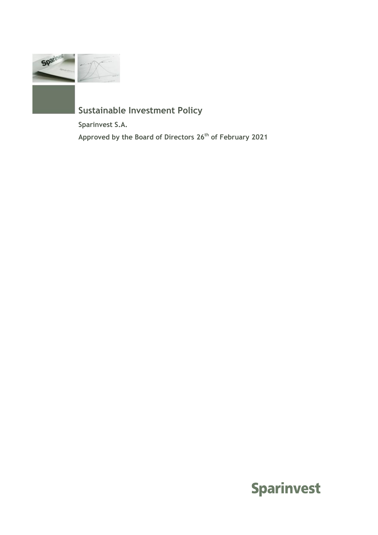

# **Sustainable Investment Policy**

**Sparinvest S.A.** 

**Approved by the Board of Directors 26th of February 2021**

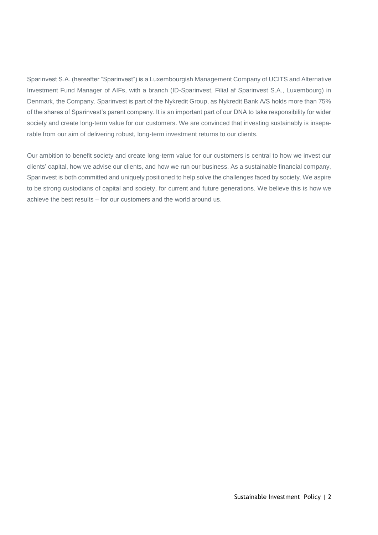Sparinvest S.A. (hereafter "Sparinvest") is a Luxembourgish Management Company of UCITS and Alternative Investment Fund Manager of AIFs, with a branch (ID-Sparinvest, Filial af Sparinvest S.A., Luxembourg) in Denmark, the Company. Sparinvest is part of the Nykredit Group, as Nykredit Bank A/S holds more than 75% of the shares of Sparinvest's parent company. It is an important part of our DNA to take responsibility for wider society and create long-term value for our customers. We are convinced that investing sustainably is inseparable from our aim of delivering robust, long-term investment returns to our clients.

Our ambition to benefit society and create long-term value for our customers is central to how we invest our clients' capital, how we advise our clients, and how we run our business. As a sustainable financial company, Sparinvest is both committed and uniquely positioned to help solve the challenges faced by society. We aspire to be strong custodians of capital and society, for current and future generations. We believe this is how we achieve the best results – for our customers and the world around us.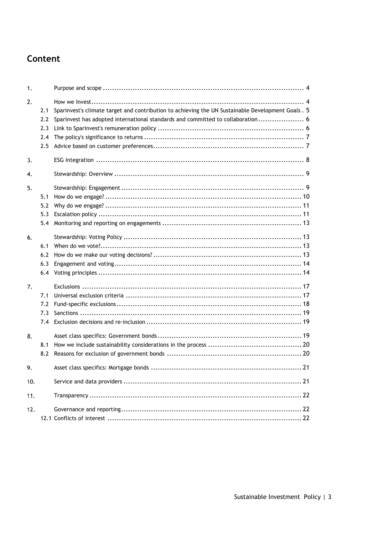## Content

| 1.  |                                 |                                                                                                                                                                                       |
|-----|---------------------------------|---------------------------------------------------------------------------------------------------------------------------------------------------------------------------------------|
| 2.  | 2.1<br>2.2<br>2.3<br>2.4<br>2.5 | Sparinvest's climate target and contribution to achieving the UN Sustainable Development Goals . 5<br>Sparinvest has adopted international standards and committed to collaboration 6 |
| 3.  |                                 |                                                                                                                                                                                       |
| 4.  |                                 |                                                                                                                                                                                       |
| 5.  | 5.1<br>5.2<br>5.3<br>5.4        |                                                                                                                                                                                       |
| 6.  | 6.1<br>6.2<br>6.3<br>6.4        |                                                                                                                                                                                       |
| 7.  | 7.1<br>7.2<br>7.3<br>7.4        |                                                                                                                                                                                       |
| 8.  | 8.1<br>8.2                      |                                                                                                                                                                                       |
| 9.  |                                 | .21                                                                                                                                                                                   |
| 10. |                                 |                                                                                                                                                                                       |
| 11. |                                 |                                                                                                                                                                                       |
| 12. |                                 |                                                                                                                                                                                       |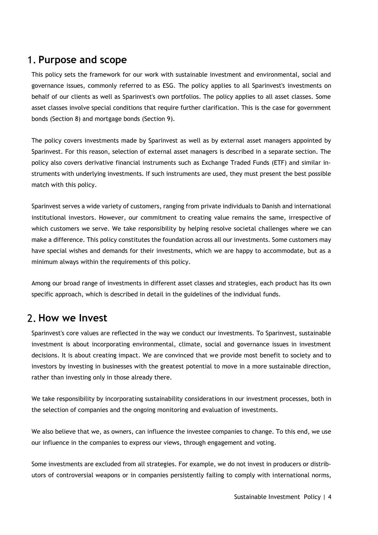## <span id="page-3-0"></span>**Purpose and scope**

This policy sets the framework for our work with sustainable investment and environmental, social and governance issues, commonly referred to as ESG. The policy applies to all Sparinvest's investments on behalf of our clients as well as Sparinvest's own portfolios. The policy applies to all asset classes. Some asset classes involve special conditions that require further clarification. This is the case for government bonds (Section 8) and mortgage bonds (Section 9).

The policy covers investments made by Sparinvest as well as by external asset managers appointed by Sparinvest. For this reason, selection of external asset managers is described in a separate section. The policy also covers derivative financial instruments such as Exchange Traded Funds (ETF) and similar instruments with underlying investments. If such instruments are used, they must present the best possible match with this policy.

Sparinvest serves a wide variety of customers, ranging from private individuals to Danish and international institutional investors. However, our commitment to creating value remains the same, irrespective of which customers we serve. We take responsibility by helping resolve societal challenges where we can make a difference. This policy constitutes the foundation across all our investments. Some customers may have special wishes and demands for their investments, which we are happy to accommodate, but as a minimum always within the requirements of this policy.

Among our broad range of investments in different asset classes and strategies, each product has its own specific approach, which is described in detail in the guidelines of the individual funds.

## <span id="page-3-1"></span>**How we Invest**

Sparinvest's core values are reflected in the way we conduct our investments. To Sparinvest, sustainable investment is about incorporating environmental, climate, social and governance issues in investment decisions. It is about creating impact. We are convinced that we provide most benefit to society and to investors by investing in businesses with the greatest potential to move in a more sustainable direction, rather than investing only in those already there.

We take responsibility by incorporating sustainability considerations in our investment processes, both in the selection of companies and the ongoing monitoring and evaluation of investments.

We also believe that we, as owners, can influence the investee companies to change. To this end, we use our influence in the companies to express our views, through engagement and voting.

Some investments are excluded from all strategies. For example, we do not invest in producers or distributors of controversial weapons or in companies persistently failing to comply with international norms,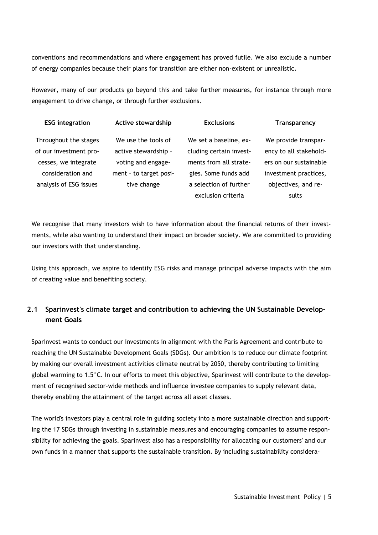conventions and recommendations and where engagement has proved futile. We also exclude a number of energy companies because their plans for transition are either non-existent or unrealistic.

However, many of our products go beyond this and take further measures, for instance through more engagement to drive change, or through further exclusions.

| <b>ESG</b> integration | Active stewardship     | <b>Exclusions</b>       | <b>Transparency</b>    |
|------------------------|------------------------|-------------------------|------------------------|
| Throughout the stages  | We use the tools of    | We set a baseline, ex-  | We provide transpar-   |
| of our investment pro- | active stewardship -   | cluding certain invest- | ency to all stakehold- |
| cesses, we integrate   | voting and engage-     | ments from all strate-  | ers on our sustainable |
| consideration and      | ment - to target posi- | gies. Some funds add    | investment practices,  |
| analysis of ESG issues | tive change            | a selection of further  | objectives, and re-    |
|                        |                        | exclusion criteria      | sults                  |

We recognise that many investors wish to have information about the financial returns of their investments, while also wanting to understand their impact on broader society. We are committed to providing our investors with that understanding.

Using this approach, we aspire to identify ESG risks and manage principal adverse impacts with the aim of creating value and benefiting society.

### <span id="page-4-0"></span>**2.1 Sparinvest's climate target and contribution to achieving the UN Sustainable Development Goals**

Sparinvest wants to conduct our investments in alignment with the Paris Agreement and contribute to reaching the UN Sustainable Development Goals (SDGs). Our ambition is to reduce our climate footprint by making our overall investment activities climate neutral by 2050, thereby contributing to limiting global warming to 1.5°C. In our efforts to meet this objective, Sparinvest will contribute to the development of recognised sector-wide methods and influence investee companies to supply relevant data, thereby enabling the attainment of the target across all asset classes.

The world's investors play a central role in guiding society into a more sustainable direction and supporting the 17 SDGs through investing in sustainable measures and encouraging companies to assume responsibility for achieving the goals. Sparinvest also has a responsibility for allocating our customers' and our own funds in a manner that supports the sustainable transition. By including sustainability considera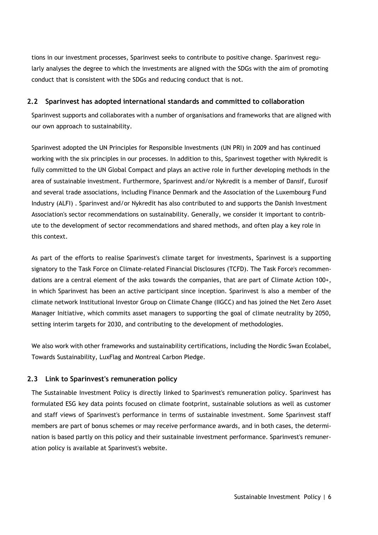tions in our investment processes, Sparinvest seeks to contribute to positive change. Sparinvest regularly analyses the degree to which the investments are aligned with the SDGs with the aim of promoting conduct that is consistent with the SDGs and reducing conduct that is not.

### <span id="page-5-0"></span>**2.2 Sparinvest has adopted international standards and committed to collaboration**

Sparinvest supports and collaborates with a number of organisations and frameworks that are aligned with our own approach to sustainability.

Sparinvest adopted the UN Principles for Responsible Investments (UN PRI) in 2009 and has continued working with the six principles in our processes. In addition to this, Sparinvest together with Nykredit is fully committed to the UN Global Compact and plays an active role in further developing methods in the area of sustainable investment. Furthermore, Sparinvest and/or Nykredit is a member of Dansif, Eurosif and several trade associations, including Finance Denmark and the Association of the Luxembourg Fund Industry (ALFI) . Sparinvest and/or Nykredit has also contributed to and supports the Danish Investment Association's sector recommendations on sustainability. Generally, we consider it important to contribute to the development of sector recommendations and shared methods, and often play a key role in this context.

As part of the efforts to realise Sparinvest's climate target for investments, Sparinvest is a supporting signatory to the Task Force on Climate-related Financial Disclosures (TCFD). The Task Force's recommendations are a central element of the asks towards the companies, that are part of Climate Action 100+, in which Sparinvest has been an active participant since inception. Sparinvest is also a member of the climate network Institutional Investor Group on Climate Change (IIGCC) and has joined the Net Zero Asset Manager Initiative, which commits asset managers to supporting the goal of climate neutrality by 2050, setting interim targets for 2030, and contributing to the development of methodologies.

We also work with other frameworks and sustainability certifications, including the Nordic Swan Ecolabel, Towards Sustainability, LuxFlag and Montreal Carbon Pledge.

### <span id="page-5-1"></span>**2.3 Link to Sparinvest's remuneration policy**

The Sustainable Investment Policy is directly linked to Sparinvest's remuneration policy. Sparinvest has formulated ESG key data points focused on climate footprint, sustainable solutions as well as customer and staff views of Sparinvest's performance in terms of sustainable investment. Some Sparinvest staff members are part of bonus schemes or may receive performance awards, and in both cases, the determination is based partly on this policy and their sustainable investment performance. Sparinvest's remuneration policy is available at Sparinvest's website.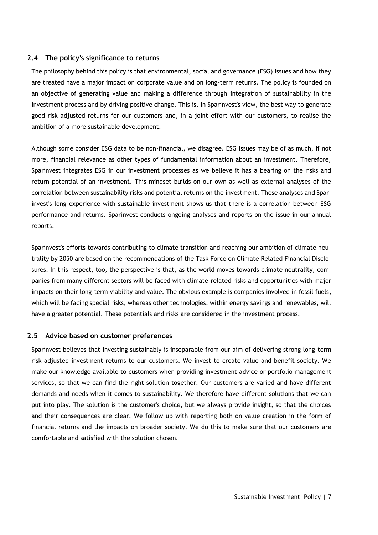#### <span id="page-6-0"></span>**2.4 The policy's significance to returns**

The philosophy behind this policy is that environmental, social and governance (ESG) issues and how they are treated have a major impact on corporate value and on long-term returns. The policy is founded on an objective of generating value and making a difference through integration of sustainability in the investment process and by driving positive change. This is, in Sparinvest's view, the best way to generate good risk adjusted returns for our customers and, in a joint effort with our customers, to realise the ambition of a more sustainable development.

Although some consider ESG data to be non-financial, we disagree. ESG issues may be of as much, if not more, financial relevance as other types of fundamental information about an investment. Therefore, Sparinvest integrates ESG in our investment processes as we believe it has a bearing on the risks and return potential of an investment. This mindset builds on our own as well as external analyses of the correlation between sustainability risks and potential returns on the investment. These analyses and Sparinvest's long experience with sustainable investment shows us that there is a correlation between ESG performance and returns. Sparinvest conducts ongoing analyses and reports on the issue in our annual reports.

Sparinvest's efforts towards contributing to climate transition and reaching our ambition of climate neutrality by 2050 are based on the recommendations of the Task Force on Climate Related Financial Disclosures. In this respect, too, the perspective is that, as the world moves towards climate neutrality, companies from many different sectors will be faced with climate-related risks and opportunities with major impacts on their long-term viability and value. The obvious example is companies involved in fossil fuels, which will be facing special risks, whereas other technologies, within energy savings and renewables, will have a greater potential. These potentials and risks are considered in the investment process.

#### <span id="page-6-1"></span>**2.5 Advice based on customer preferences**

Sparinvest believes that investing sustainably is inseparable from our aim of delivering strong long-term risk adjusted investment returns to our customers. We invest to create value and benefit society. We make our knowledge available to customers when providing investment advice or portfolio management services, so that we can find the right solution together. Our customers are varied and have different demands and needs when it comes to sustainability. We therefore have different solutions that we can put into play. The solution is the customer's choice, but we always provide insight, so that the choices and their consequences are clear. We follow up with reporting both on value creation in the form of financial returns and the impacts on broader society. We do this to make sure that our customers are comfortable and satisfied with the solution chosen.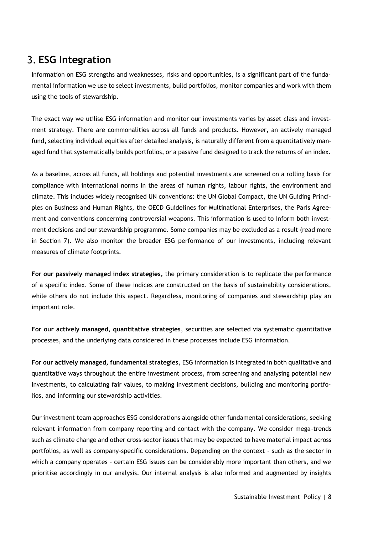# <span id="page-7-0"></span>**ESG Integration**

Information on ESG strengths and weaknesses, risks and opportunities, is a significant part of the fundamental information we use to select investments, build portfolios, monitor companies and work with them using the tools of stewardship.

The exact way we utilise ESG information and monitor our investments varies by asset class and investment strategy. There are commonalities across all funds and products. However, an actively managed fund, selecting individual equities after detailed analysis, is naturally different from a quantitatively managed fund that systematically builds portfolios, or a passive fund designed to track the returns of an index.

As a baseline, across all funds, all holdings and potential investments are screened on a rolling basis for compliance with international norms in the areas of human rights, labour rights, the environment and climate. This includes widely recognised UN conventions: the UN Global Compact, the UN Guiding Principles on Business and Human Rights, the OECD Guidelines for Multinational Enterprises, the Paris Agreement and conventions concerning controversial weapons. This information is used to inform both investment decisions and our stewardship programme. Some companies may be excluded as a result (read more in Section 7). We also monitor the broader ESG performance of our investments, including relevant measures of climate footprints.

**For our passively managed index strategies,** the primary consideration is to replicate the performance of a specific index. Some of these indices are constructed on the basis of sustainability considerations, while others do not include this aspect. Regardless, monitoring of companies and stewardship play an important role.

**For our actively managed, quantitative strategies**, securities are selected via systematic quantitative processes, and the underlying data considered in these processes include ESG information.

**For our actively managed, fundamental strategies**, ESG information is integrated in both qualitative and quantitative ways throughout the entire investment process, from screening and analysing potential new investments, to calculating fair values, to making investment decisions, building and monitoring portfolios, and informing our stewardship activities.

Our investment team approaches ESG considerations alongside other fundamental considerations, seeking relevant information from company reporting and contact with the company. We consider mega-trends such as climate change and other cross-sector issues that may be expected to have material impact across portfolios, as well as company-specific considerations. Depending on the context – such as the sector in which a company operates – certain ESG issues can be considerably more important than others, and we prioritise accordingly in our analysis. Our internal analysis is also informed and augmented by insights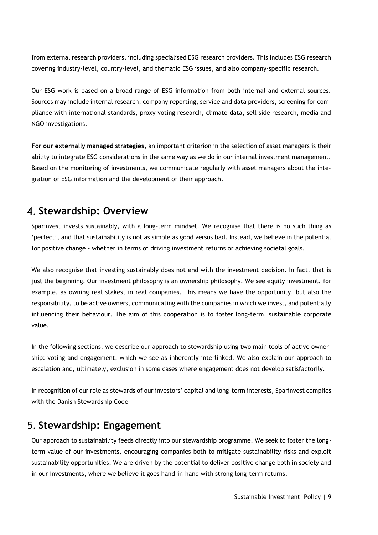from external research providers, including specialised ESG research providers. This includes ESG research covering industry-level, country-level, and thematic ESG issues, and also company-specific research.

Our ESG work is based on a broad range of ESG information from both internal and external sources. Sources may include internal research, company reporting, service and data providers, screening for compliance with international standards, proxy voting research, climate data, sell side research, media and NGO investigations.

**For our externally managed strategies**, an important criterion in the selection of asset managers is their ability to integrate ESG considerations in the same way as we do in our internal investment management. Based on the monitoring of investments, we communicate regularly with asset managers about the integration of ESG information and the development of their approach.

## <span id="page-8-0"></span>**Stewardship: Overview**

Sparinvest invests sustainably, with a long-term mindset. We recognise that there is no such thing as 'perfect', and that sustainability is not as simple as good versus bad. Instead, we believe in the potential for positive change - whether in terms of driving investment returns or achieving societal goals.

We also recognise that investing sustainably does not end with the investment decision. In fact, that is just the beginning. Our investment philosophy is an ownership philosophy. We see equity investment, for example, as owning real stakes, in real companies. This means we have the opportunity, but also the responsibility, to be active owners, communicating with the companies in which we invest, and potentially influencing their behaviour. The aim of this cooperation is to foster long-term, sustainable corporate value.

In the following sections, we describe our approach to stewardship using two main tools of active ownership: voting and engagement, which we see as inherently interlinked. We also explain our approach to escalation and, ultimately, exclusion in some cases where engagement does not develop satisfactorily.

In recognition of our role as stewards of our investors' capital and long-term interests, Sparinvest complies with the Danish Stewardship Code

## <span id="page-8-1"></span>**Stewardship: Engagement**

Our approach to sustainability feeds directly into our stewardship programme. We seek to foster the longterm value of our investments, encouraging companies both to mitigate sustainability risks and exploit sustainability opportunities. We are driven by the potential to deliver positive change both in society and in our investments, where we believe it goes hand-in-hand with strong long-term returns.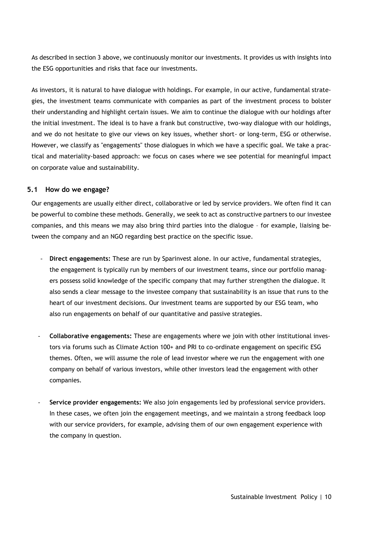As described in section 3 above, we continuously monitor our investments. It provides us with insights into the ESG opportunities and risks that face our investments.

As investors, it is natural to have dialogue with holdings. For example, in our active, fundamental strategies, the investment teams communicate with companies as part of the investment process to bolster their understanding and highlight certain issues. We aim to continue the dialogue with our holdings after the initial investment. The ideal is to have a frank but constructive, two-way dialogue with our holdings, and we do not hesitate to give our views on key issues, whether short- or long-term, ESG or otherwise. However, we classify as "engagements" those dialogues in which we have a specific goal. We take a practical and materiality-based approach: we focus on cases where we see potential for meaningful impact on corporate value and sustainability.

#### <span id="page-9-0"></span>**5.1 How do we engage?**

Our engagements are usually either direct, collaborative or led by service providers. We often find it can be powerful to combine these methods. Generally, we seek to act as constructive partners to our investee companies, and this means we may also bring third parties into the dialogue – for example, liaising between the company and an NGO regarding best practice on the specific issue.

- **Direct engagements:** These are run by Sparinvest alone. In our active, fundamental strategies, the engagement is typically run by members of our investment teams, since our portfolio managers possess solid knowledge of the specific company that may further strengthen the dialogue. It also sends a clear message to the investee company that sustainability is an issue that runs to the heart of our investment decisions. Our investment teams are supported by our ESG team, who also run engagements on behalf of our quantitative and passive strategies.
- **Collaborative engagements:** These are engagements where we join with other institutional investors via forums such as Climate Action 100+ and PRI to co-ordinate engagement on specific ESG themes. Often, we will assume the role of lead investor where we run the engagement with one company on behalf of various investors, while other investors lead the engagement with other companies.
- **Service provider engagements:** We also join engagements led by professional service providers. In these cases, we often join the engagement meetings, and we maintain a strong feedback loop with our service providers, for example, advising them of our own engagement experience with the company in question.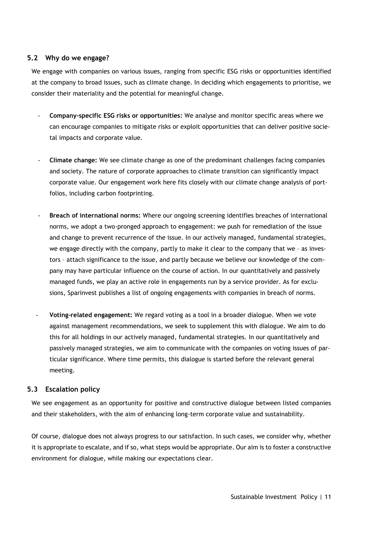### <span id="page-10-0"></span>**5.2 Why do we engage?**

We engage with companies on various issues, ranging from specific ESG risks or opportunities identified at the company to broad issues, such as climate change. In deciding which engagements to prioritise, we consider their materiality and the potential for meaningful change.

- **Company-specific ESG risks or opportunities:** We analyse and monitor specific areas where we can encourage companies to mitigate risks or exploit opportunities that can deliver positive societal impacts and corporate value.
- **Climate change:** We see climate change as one of the predominant challenges facing companies and society. The nature of corporate approaches to climate transition can significantly impact corporate value. Our engagement work here fits closely with our climate change analysis of portfolios, including carbon footprinting.
- **Breach of international norms:** Where our ongoing screening identifies breaches of international norms, we adopt a two-pronged approach to engagement: we push for remediation of the issue and change to prevent recurrence of the issue. In our actively managed, fundamental strategies, we engage directly with the company, partly to make it clear to the company that we – as investors – attach significance to the issue, and partly because we believe our knowledge of the company may have particular influence on the course of action. In our quantitatively and passively managed funds, we play an active role in engagements run by a service provider. As for exclusions, Sparinvest publishes a list of ongoing engagements with companies in breach of norms.
- **Voting-related engagement:** We regard voting as a tool in a broader dialogue. When we vote against management recommendations, we seek to supplement this with dialogue. We aim to do this for all holdings in our actively managed, fundamental strategies. In our quantitatively and passively managed strategies, we aim to communicate with the companies on voting issues of particular significance. Where time permits, this dialogue is started before the relevant general meeting.

### <span id="page-10-1"></span>**5.3 Escalation policy**

We see engagement as an opportunity for positive and constructive dialogue between listed companies and their stakeholders, with the aim of enhancing long-term corporate value and sustainability.

Of course, dialogue does not always progress to our satisfaction. In such cases, we consider why, whether it is appropriate to escalate, and if so, what steps would be appropriate. Our aim is to foster a constructive environment for dialogue, while making our expectations clear.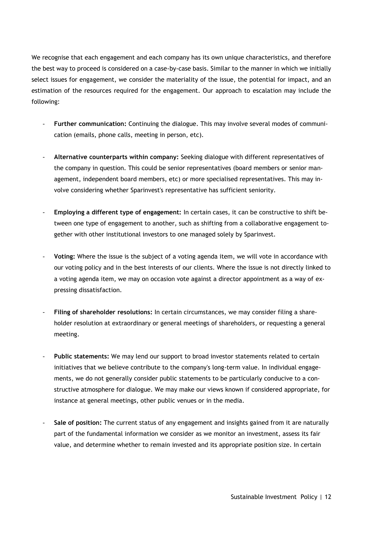We recognise that each engagement and each company has its own unique characteristics, and therefore the best way to proceed is considered on a case-by-case basis. Similar to the manner in which we initially select issues for engagement, we consider the materiality of the issue, the potential for impact, and an estimation of the resources required for the engagement. Our approach to escalation may include the following:

- **Further communication:** Continuing the dialogue. This may involve several modes of communication (emails, phone calls, meeting in person, etc).
- **Alternative counterparts within company:** Seeking dialogue with different representatives of the company in question. This could be senior representatives (board members or senior management, independent board members, etc) or more specialised representatives. This may involve considering whether Sparinvest's representative has sufficient seniority.
- **Employing a different type of engagement:** In certain cases, it can be constructive to shift between one type of engagement to another, such as shifting from a collaborative engagement together with other institutional investors to one managed solely by Sparinvest.
- **Voting:** Where the issue is the subject of a voting agenda item, we will vote in accordance with our voting policy and in the best interests of our clients. Where the issue is not directly linked to a voting agenda item, we may on occasion vote against a director appointment as a way of expressing dissatisfaction.
- **Filing of shareholder resolutions:** In certain circumstances, we may consider filing a shareholder resolution at extraordinary or general meetings of shareholders, or requesting a general meeting.
- **Public statements:** We may lend our support to broad investor statements related to certain initiatives that we believe contribute to the company's long-term value. In individual engagements, we do not generally consider public statements to be particularly conducive to a constructive atmosphere for dialogue. We may make our views known if considered appropriate, for instance at general meetings, other public venues or in the media.
- **Sale of position:** The current status of any engagement and insights gained from it are naturally part of the fundamental information we consider as we monitor an investment, assess its fair value, and determine whether to remain invested and its appropriate position size. In certain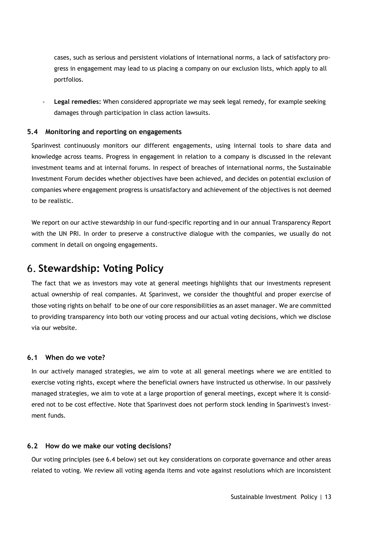cases, such as serious and persistent violations of international norms, a lack of satisfactory progress in engagement may lead to us placing a company on our exclusion lists, which apply to all portfolios.

- **Legal remedies:** When considered appropriate we may seek legal remedy, for example seeking damages through participation in class action lawsuits.

#### <span id="page-12-0"></span>**5.4 Monitoring and reporting on engagements**

Sparinvest continuously monitors our different engagements, using internal tools to share data and knowledge across teams. Progress in engagement in relation to a company is discussed in the relevant investment teams and at internal forums. In respect of breaches of international norms, the Sustainable Investment Forum decides whether objectives have been achieved, and decides on potential exclusion of companies where engagement progress is unsatisfactory and achievement of the objectives is not deemed to be realistic.

We report on our active stewardship in our fund-specific reporting and in our annual Transparency Report with the UN PRI. In order to preserve a constructive dialogue with the companies, we usually do not comment in detail on ongoing engagements.

### <span id="page-12-1"></span>**Stewardship: Voting Policy**

The fact that we as investors may vote at general meetings highlights that our investments represent actual ownership of real companies. At Sparinvest, we consider the thoughtful and proper exercise of those voting rights on behalf to be one of our core responsibilities as an asset manager. We are committed to providing transparency into both our voting process and our actual voting decisions, which we disclose via our website.

#### <span id="page-12-2"></span>**6.1 When do we vote?**

In our actively managed strategies, we aim to vote at all general meetings where we are entitled to exercise voting rights, except where the beneficial owners have instructed us otherwise. In our passively managed strategies, we aim to vote at a large proportion of general meetings, except where it is considered not to be cost effective. Note that Sparinvest does not perform stock lending in Sparinvest's investment funds.

#### <span id="page-12-3"></span>**6.2 How do we make our voting decisions?**

Our voting principles (see 6.4 below) set out key considerations on corporate governance and other areas related to voting. We review all voting agenda items and vote against resolutions which are inconsistent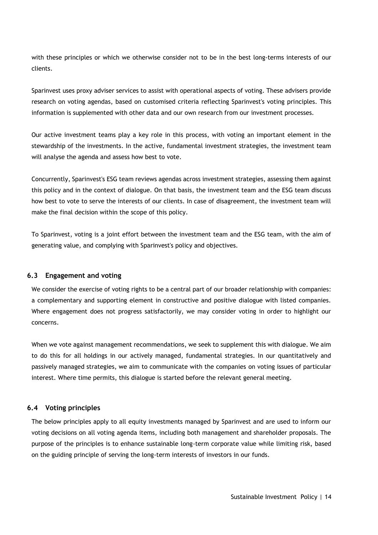with these principles or which we otherwise consider not to be in the best long-terms interests of our clients.

Sparinvest uses proxy adviser services to assist with operational aspects of voting. These advisers provide research on voting agendas, based on customised criteria reflecting Sparinvest's voting principles. This information is supplemented with other data and our own research from our investment processes.

Our active investment teams play a key role in this process, with voting an important element in the stewardship of the investments. In the active, fundamental investment strategies, the investment team will analyse the agenda and assess how best to vote.

Concurrently, Sparinvest's ESG team reviews agendas across investment strategies, assessing them against this policy and in the context of dialogue. On that basis, the investment team and the ESG team discuss how best to vote to serve the interests of our clients. In case of disagreement, the investment team will make the final decision within the scope of this policy.

To Sparinvest, voting is a joint effort between the investment team and the ESG team, with the aim of generating value, and complying with Sparinvest's policy and objectives.

#### <span id="page-13-0"></span>**6.3 Engagement and voting**

We consider the exercise of voting rights to be a central part of our broader relationship with companies: a complementary and supporting element in constructive and positive dialogue with listed companies. Where engagement does not progress satisfactorily, we may consider voting in order to highlight our concerns.

When we vote against management recommendations, we seek to supplement this with dialogue. We aim to do this for all holdings in our actively managed, fundamental strategies. In our quantitatively and passively managed strategies, we aim to communicate with the companies on voting issues of particular interest. Where time permits, this dialogue is started before the relevant general meeting.

### <span id="page-13-1"></span>**6.4 Voting principles**

The below principles apply to all equity investments managed by Sparinvest and are used to inform our voting decisions on all voting agenda items, including both management and shareholder proposals. The purpose of the principles is to enhance sustainable long-term corporate value while limiting risk, based on the guiding principle of serving the long-term interests of investors in our funds.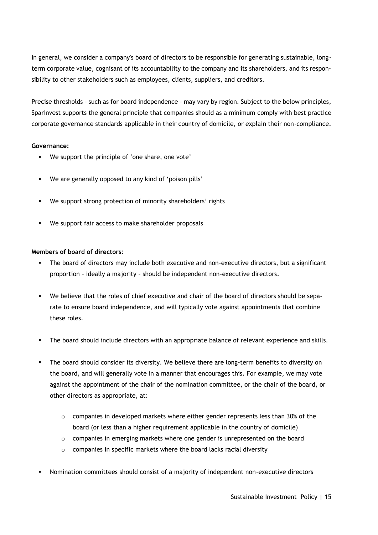In general, we consider a company's board of directors to be responsible for generating sustainable, longterm corporate value, cognisant of its accountability to the company and its shareholders, and its responsibility to other stakeholders such as employees, clients, suppliers, and creditors.

Precise thresholds – such as for board independence – may vary by region. Subject to the below principles, Sparinvest supports the general principle that companies should as a minimum comply with best practice corporate governance standards applicable in their country of domicile, or explain their non-compliance.

#### **Governance:**

- We support the principle of 'one share, one vote'
- We are generally opposed to any kind of 'poison pills'
- We support strong protection of minority shareholders' rights
- We support fair access to make shareholder proposals

#### **Members of board of directors**:

- The board of directors may include both executive and non-executive directors, but a significant proportion – ideally a majority – should be independent non-executive directors.
- We believe that the roles of chief executive and chair of the board of directors should be separate to ensure board independence, and will typically vote against appointments that combine these roles.
- The board should include directors with an appropriate balance of relevant experience and skills.
- The board should consider its diversity. We believe there are long-term benefits to diversity on the board, and will generally vote in a manner that encourages this. For example, we may vote against the appointment of the chair of the nomination committee, or the chair of the board, or other directors as appropriate, at:
	- $\circ$  companies in developed markets where either gender represents less than 30% of the board (or less than a higher requirement applicable in the country of domicile)
	- $\circ$  companies in emerging markets where one gender is unrepresented on the board
	- o companies in specific markets where the board lacks racial diversity
- Nomination committees should consist of a majority of independent non-executive directors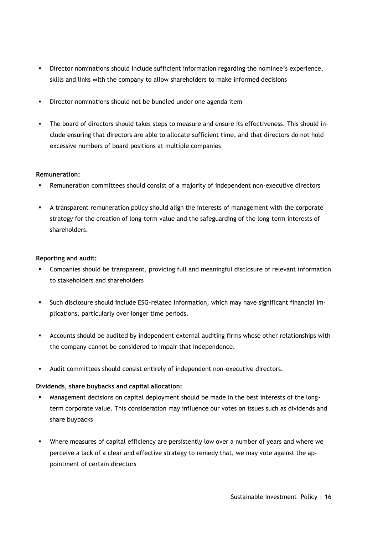- Director nominations should include sufficient information regarding the nominee's experience, skills and links with the company to allow shareholders to make informed decisions
- Director nominations should not be bundled under one agenda item
- The board of directors should takes steps to measure and ensure its effectiveness. This should include ensuring that directors are able to allocate sufficient time, and that directors do not hold excessive numbers of board positions at multiple companies

#### **Remuneration:**

- Remuneration committees should consist of a majority of independent non-executive directors
- A transparent remuneration policy should align the interests of management with the corporate strategy for the creation of long-term value and the safeguarding of the long-term interests of shareholders.

#### **Reporting and audit:**

- Companies should be transparent, providing full and meaningful disclosure of relevant information to stakeholders and shareholders
- Such disclosure should include ESG-related information, which may have significant financial implications, particularly over longer time periods.
- Accounts should be audited by independent external auditing firms whose other relationships with the company cannot be considered to impair that independence.
- Audit committees should consist entirely of independent non-executive directors.

### **Dividends, share buybacks and capital allocation:**

- Management decisions on capital deployment should be made in the best interests of the longterm corporate value. This consideration may influence our votes on issues such as dividends and share buybacks
- Where measures of capital efficiency are persistently low over a number of years and where we perceive a lack of a clear and effective strategy to remedy that, we may vote against the appointment of certain directors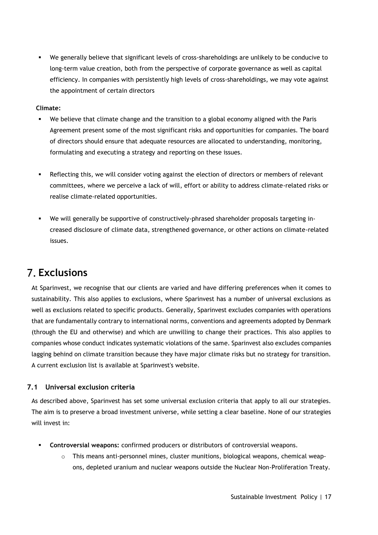We generally believe that significant levels of cross-shareholdings are unlikely to be conducive to long-term value creation, both from the perspective of corporate governance as well as capital efficiency. In companies with persistently high levels of cross-shareholdings, we may vote against the appointment of certain directors

#### **Climate:**

- We believe that climate change and the transition to a global economy aligned with the Paris Agreement present some of the most significant risks and opportunities for companies. The board of directors should ensure that adequate resources are allocated to understanding, monitoring, formulating and executing a strategy and reporting on these issues.
- Reflecting this, we will consider voting against the election of directors or members of relevant committees, where we perceive a lack of will, effort or ability to address climate-related risks or realise climate-related opportunities.
- We will generally be supportive of constructively-phrased shareholder proposals targeting increased disclosure of climate data, strengthened governance, or other actions on climate-related issues.

## <span id="page-16-0"></span>**Exclusions**

At Sparinvest, we recognise that our clients are varied and have differing preferences when it comes to sustainability. This also applies to exclusions, where Sparinvest has a number of universal exclusions as well as exclusions related to specific products. Generally, Sparinvest excludes companies with operations that are fundamentally contrary to international norms, conventions and agreements adopted by Denmark (through the EU and otherwise) and which are unwilling to change their practices. This also applies to companies whose conduct indicates systematic violations of the same. Sparinvest also excludes companies lagging behind on climate transition because they have major climate risks but no strategy for transition. A current exclusion list is available at Sparinvest's website.

### <span id="page-16-1"></span>**7.1 Universal exclusion criteria**

As described above, Sparinvest has set some universal exclusion criteria that apply to all our strategies. The aim is to preserve a broad investment universe, while setting a clear baseline. None of our strategies will invest in:

- **Controversial weapons:** confirmed producers or distributors of controversial weapons.
	- $\circ$  This means anti-personnel mines, cluster munitions, biological weapons, chemical weapons, depleted uranium and nuclear weapons outside the Nuclear Non-Proliferation Treaty.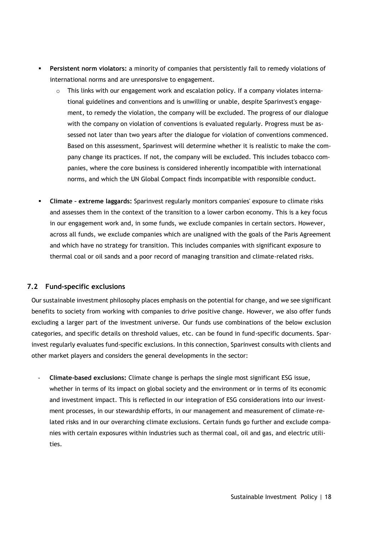- **Persistent norm violators:** a minority of companies that persistently fail to remedy violations of international norms and are unresponsive to engagement.
	- o This links with our engagement work and escalation policy. If a company violates international guidelines and conventions and is unwilling or unable, despite Sparinvest's engagement, to remedy the violation, the company will be excluded. The progress of our dialogue with the company on violation of conventions is evaluated regularly. Progress must be assessed not later than two years after the dialogue for violation of conventions commenced. Based on this assessment, Sparinvest will determine whether it is realistic to make the company change its practices. If not, the company will be excluded. This includes tobacco companies, where the core business is considered inherently incompatible with international norms, and which the UN Global Compact finds incompatible with responsible conduct.
- **Climate – extreme laggards:** Sparinvest regularly monitors companies' exposure to climate risks and assesses them in the context of the transition to a lower carbon economy. This is a key focus in our engagement work and, in some funds, we exclude companies in certain sectors. However, across all funds, we exclude companies which are unaligned with the goals of the Paris Agreement and which have no strategy for transition. This includes companies with significant exposure to thermal coal or oil sands and a poor record of managing transition and climate-related risks.

### <span id="page-17-0"></span>**7.2 Fund-specific exclusions**

Our sustainable investment philosophy places emphasis on the potential for change, and we see significant benefits to society from working with companies to drive positive change. However, we also offer funds excluding a larger part of the investment universe. Our funds use combinations of the below exclusion categories, and specific details on threshold values, etc. can be found in fund-specific documents. Sparinvest regularly evaluates fund-specific exclusions. In this connection, Sparinvest consults with clients and other market players and considers the general developments in the sector:

- **Climate-based exclusions:** Climate change is perhaps the single most significant ESG issue, whether in terms of its impact on global society and the environment or in terms of its economic and investment impact. This is reflected in our integration of ESG considerations into our investment processes, in our stewardship efforts, in our management and measurement of climate-related risks and in our overarching climate exclusions. Certain funds go further and exclude companies with certain exposures within industries such as thermal coal, oil and gas, and electric utilities.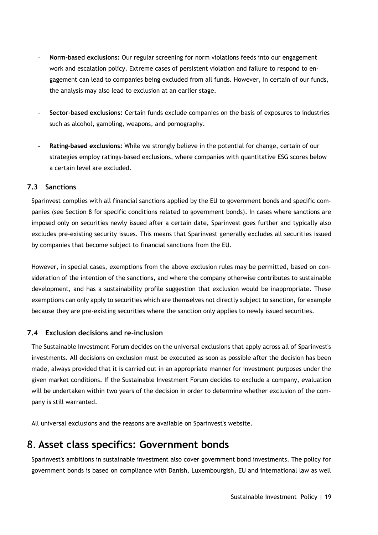- **Norm-based exclusions:** Our regular screening for norm violations feeds into our engagement work and escalation policy. Extreme cases of persistent violation and failure to respond to engagement can lead to companies being excluded from all funds. However, in certain of our funds, the analysis may also lead to exclusion at an earlier stage.
- **Sector-based exclusions:** Certain funds exclude companies on the basis of exposures to industries such as alcohol, gambling, weapons, and pornography.
- Rating-based exclusions: While we strongly believe in the potential for change, certain of our strategies employ ratings-based exclusions, where companies with quantitative ESG scores below a certain level are excluded.

### <span id="page-18-0"></span>**7.3 Sanctions**

Sparinvest complies with all financial sanctions applied by the EU to government bonds and specific companies (see Section 8 for specific conditions related to government bonds). In cases where sanctions are imposed only on securities newly issued after a certain date, Sparinvest goes further and typically also excludes pre-existing security issues. This means that Sparinvest generally excludes all securities issued by companies that become subject to financial sanctions from the EU.

However, in special cases, exemptions from the above exclusion rules may be permitted, based on consideration of the intention of the sanctions, and where the company otherwise contributes to sustainable development, and has a sustainability profile suggestion that exclusion would be inappropriate. These exemptions can only apply to securities which are themselves not directly subject to sanction, for example because they are pre-existing securities where the sanction only applies to newly issued securities.

### <span id="page-18-1"></span>**7.4 Exclusion decisions and re-inclusion**

The Sustainable Investment Forum decides on the universal exclusions that apply across all of Sparinvest's investments. All decisions on exclusion must be executed as soon as possible after the decision has been made, always provided that it is carried out in an appropriate manner for investment purposes under the given market conditions. If the Sustainable Investment Forum decides to exclude a company, evaluation will be undertaken within two years of the decision in order to determine whether exclusion of the company is still warranted.

All universal exclusions and the reasons are available on Sparinvest's website.

# <span id="page-18-2"></span>**Asset class specifics: Government bonds**

Sparinvest's ambitions in sustainable investment also cover government bond investments. The policy for government bonds is based on compliance with Danish, Luxembourgish, EU and international law as well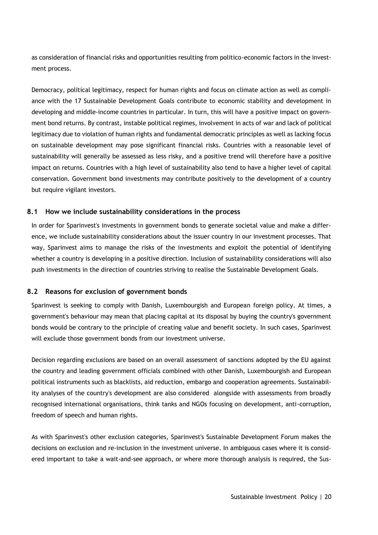as consideration of financial risks and opportunities resulting from politico-economic factors in the investment process.

Democracy, political legitimacy, respect for human rights and focus on climate action as well as compliance with the 17 Sustainable Development Goals contribute to economic stability and development in developing and middle-income countries in particular. In turn, this will have a positive impact on government bond returns. By contrast, instable political regimes, involvement in acts of war and lack of political legitimacy due to violation of human rights and fundamental democratic principles as well as lacking focus on sustainable development may pose significant financial risks. Countries with a reasonable level of sustainability will generally be assessed as less risky, and a positive trend will therefore have a positive impact on returns. Countries with a high level of sustainability also tend to have a higher level of capital conservation. Government bond investments may contribute positively to the development of a country but require vigilant investors.

#### <span id="page-19-0"></span>**8.1 How we include sustainability considerations in the process**

In order for Sparinvest's investments in government bonds to generate societal value and make a difference, we include sustainability considerations about the issuer country in our investment processes. That way, Sparinvest aims to manage the risks of the investments and exploit the potential of identifying whether a country is developing in a positive direction. Inclusion of sustainability considerations will also push investments in the direction of countries striving to realise the Sustainable Development Goals.

### <span id="page-19-1"></span>**8.2 Reasons for exclusion of government bonds**

Sparinvest is seeking to comply with Danish, Luxembourgish and European foreign policy. At times, a government's behaviour may mean that placing capital at its disposal by buying the country's government bonds would be contrary to the principle of creating value and benefit society. In such cases, Sparinvest will exclude those government bonds from our investment universe.

Decision regarding exclusions are based on an overall assessment of sanctions adopted by the EU against the country and leading government officials combined with other Danish, Luxembourgish and European political instruments such as blacklists, aid reduction, embargo and cooperation agreements. Sustainability analyses of the country's development are also considered alongside with assessments from broadly recognised international organisations, think tanks and NGOs focusing on development, anti-corruption, freedom of speech and human rights.

As with Sparinvest's other exclusion categories, Sparinvest's Sustainable Development Forum makes the decisions on exclusion and re-inclusion in the investment universe. In ambiguous cases where it is considered important to take a wait-and-see approach, or where more thorough analysis is required, the Sus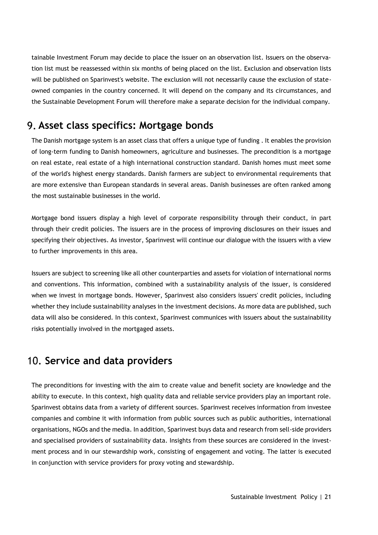tainable Investment Forum may decide to place the issuer on an observation list. Issuers on the observation list must be reassessed within six months of being placed on the list. Exclusion and observation lists will be published on Sparinvest's website. The exclusion will not necessarily cause the exclusion of stateowned companies in the country concerned. It will depend on the company and its circumstances, and the Sustainable Development Forum will therefore make a separate decision for the individual company.

## <span id="page-20-0"></span>**Asset class specifics: Mortgage bonds**

The Danish mortgage system is an asset class that offers a unique type of funding . It enables the provision of long-term funding to Danish homeowners, agriculture and businesses. The precondition is a mortgage on real estate, real estate of a high international construction standard. Danish homes must meet some of the world's highest energy standards. Danish farmers are subject to environmental requirements that are more extensive than European standards in several areas. Danish businesses are often ranked among the most sustainable businesses in the world.

Mortgage bond issuers display a high level of corporate responsibility through their conduct, in part through their credit policies. The issuers are in the process of improving disclosures on their issues and specifying their objectives. As investor, Sparinvest will continue our dialogue with the issuers with a view to further improvements in this area.

Issuers are subject to screening like all other counterparties and assets for violation of international norms and conventions. This information, combined with a sustainability analysis of the issuer, is considered when we invest in mortgage bonds. However, Sparinvest also considers issuers' credit policies, including whether they include sustainability analyses in the investment decisions. As more data are published, such data will also be considered. In this context, Sparinvest communices with issuers about the sustainability risks potentially involved in the mortgaged assets.

## <span id="page-20-1"></span>**Service and data providers**

The preconditions for investing with the aim to create value and benefit society are knowledge and the ability to execute. In this context, high quality data and reliable service providers play an important role. Sparinvest obtains data from a variety of different sources. Sparinvest receives information from investee companies and combine it with information from public sources such as public authorities, international organisations, NGOs and the media. In addition, Sparinvest buys data and research from sell-side providers and specialised providers of sustainability data. Insights from these sources are considered in the investment process and in our stewardship work, consisting of engagement and voting. The latter is executed in conjunction with service providers for proxy voting and stewardship.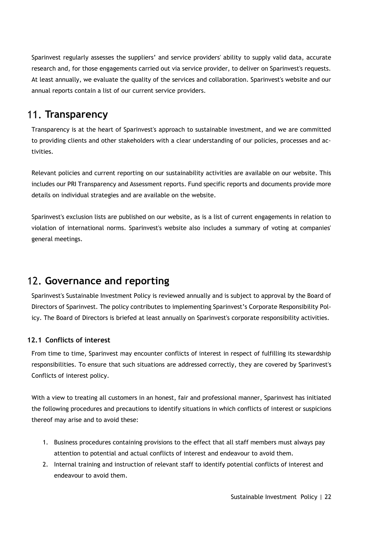Sparinvest regularly assesses the suppliers' and service providers' ability to supply valid data, accurate research and, for those engagements carried out via service provider, to deliver on Sparinvest's requests. At least annually, we evaluate the quality of the services and collaboration. Sparinvest's website and our annual reports contain a list of our current service providers.

## <span id="page-21-0"></span>**Transparency**

Transparency is at the heart of Sparinvest's approach to sustainable investment, and we are committed to providing clients and other stakeholders with a clear understanding of our policies, processes and activities.

Relevant policies and current reporting on our sustainability activities are available on our website. This includes our PRI Transparency and Assessment reports. Fund specific reports and documents provide more details on individual strategies and are available on the website.

Sparinvest's exclusion lists are published on our website, as is a list of current engagements in relation to violation of international norms. Sparinvest's website also includes a summary of voting at companies' general meetings.

# <span id="page-21-1"></span>**Governance and reporting**

Sparinvest's Sustainable Investment Policy is reviewed annually and is subject to approval by the Board of Directors of Sparinvest. The policy contributes to implementing Sparinvest's Corporate Responsibility Policy. The Board of Directors is briefed at least annually on Sparinvest's corporate responsibility activities.

### <span id="page-21-2"></span>**12.1 Conflicts of interest**

From time to time, Sparinvest may encounter conflicts of interest in respect of fulfilling its stewardship responsibilities. To ensure that such situations are addressed correctly, they are covered by Sparinvest's Conflicts of interest policy.

With a view to treating all customers in an honest, fair and professional manner, Sparinvest has initiated the following procedures and precautions to identify situations in which conflicts of interest or suspicions thereof may arise and to avoid these:

- 1. Business procedures containing provisions to the effect that all staff members must always pay attention to potential and actual conflicts of interest and endeavour to avoid them.
- 2. Internal training and instruction of relevant staff to identify potential conflicts of interest and endeavour to avoid them.